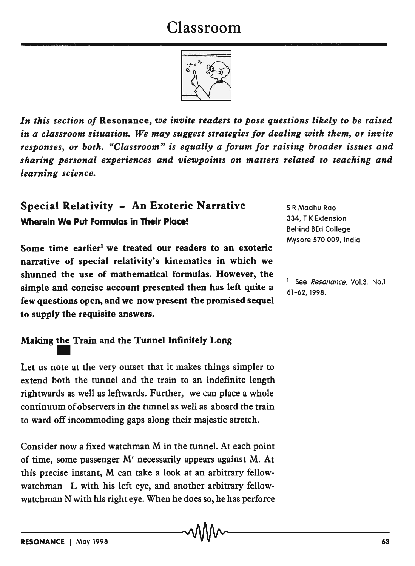# Classroom



*In this section of* Resonance, *we invite readers to pose questions likely to be raised in a classroom situation. We may suggest strategies for dealing with them, or invite responses, or both. "Classroom" is equally a forum for raising broader issues and sharing personal experiences and viewpoints on matters related to teaching and learning science.* 

# Special Relativity - An Exoteric Narrative Wherein We Put Formulas in Their Place!

Some time earlier<sup>1</sup> we treated our readers to an exoteric narrative of special relativity's kinematics in which we shunned the use of mathematical formulas. However, the simple and concise account presented then has left quite a few questions open, and we now present the promised sequel to supply the requisite answers.

S R Madhu Roo 334, T K Extension Behind BEd College Mysore 570 009, India

See Resonance, Vol.3. No.1. 61-62, 1998.

# Making the Train and the Tunnel Infinitely Long

Let us note at the very outset that it makes things simpler to extend both the tunnel and the train to an indefinite length rightwards as well as leftwards. Further, we can place a whole continuum of observers in the tunnel as well as aboard the train to ward off incommoding gaps along their majestic stretch.

Consider now a fixed watchman M in the tunnel. At each point of time, some passenger M' necessarily appears against M. At this precise instant, M can take a look at an arbitrary fellowwatchman L with his left eye, and another arbitrary fellowwatchman N with his right eye. When he does so, he has perforce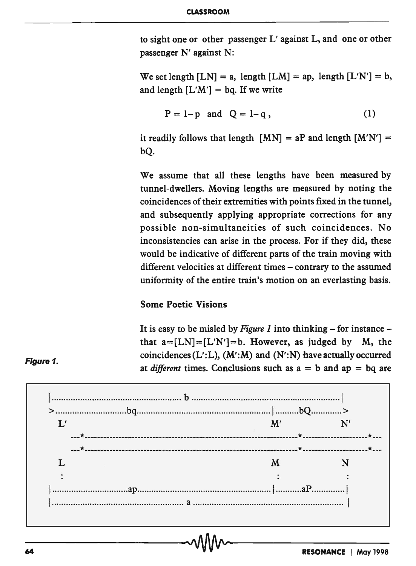to sight one or other passenger L' against L, and one or other passenger N' against N:

We set length  $[LN] = a$ , length  $[LM] = ap$ , length  $[L'N'] = b$ , and length  $[L'M'] = bq$ . If we write

$$
P = 1-p
$$
 and  $Q = 1-q$ , (1)

it readily follows that length  $[MN] = aP$  and length  $[M'N'] =$ bQ.

We assume that all these lengths have been measured by tunnel-dwellers. Moving lengths are measured by noting the coincidences of their extremities with points fixed in the tunnel, and subsequently applying appropriate corrections for any possible non-simultaneities of such coincidences. No inconsistencies can arise in the process. For if they did, these would be indicative of different parts of the train moving with different velocities at different times - contrary to the assumed uniformity of the entire train's motion on an everlasting basis.

#### Some Poetic Visions

It is easy to be misled by *Figure 1* into thinking – for instance – that  $a=[LN]=[L'N']=b$ . However, as judged by M, the coincidences  $(L'L)$ ,  $(M'M)$  and  $(N':N)$  have actually occurred at *different* times. Conclusions such as  $a = b$  and  $ap = bq$  are



#### Figure 1.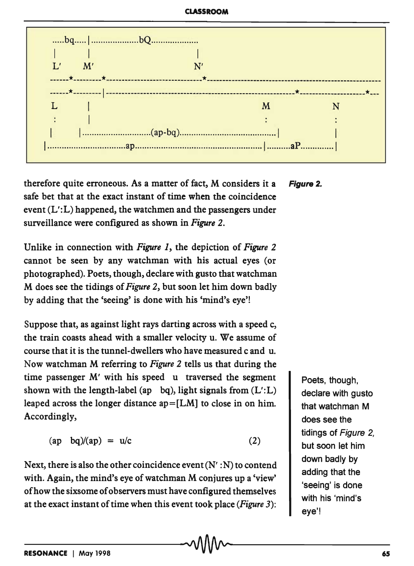

therefore quite erroneous. As a matter of fact, M considers it a **Figure 2.** safe het that at the exact instant of time when the coincidence event  $(L'.L)$  happened, the watchmen and the passengers under surveillance were configured as shown in Figure 2.

Unlike in connection with Figure 1, the depiction of Figure 2 cannot be seen by any watchman with his actual eves (or photographed). Poets, though, declare with gusto that watchman M does see the tidings of Figure 2, but soon let him down badly by adding that the 'seeing' is done with his 'mind's eve'!

Suppose that, as against light rays darting across with a speed c, the train coasts ahead with a smaller velocity u. We assume of course that it is the tunnel-dwellers who have measured c and u. Now watchman M referring to Figure 2 tells us that during the time passenger M' with his speed u traversed the segment shown with the length-label (ap bq), light signals from  $(L'.L)$ leaped across the longer distance  $ap = [LM]$  to close in on him. Accordingly,

$$
(ap \quad bq)/(ap) = u/c \tag{2}
$$

Next, there is also the other coincidence event  $(N' : N)$  to contend with. Again, the mind's eye of watchman M conjures up a 'view' of how the sixsome of observers must have configured themselves at the exact instant of time when this event took place (Figure 3):

Poets, though, declare with gusto that watchman M does see the tidings of Figure 2, but soon let him down badly by adding that the 'seeing' is done with his 'mind's eye'!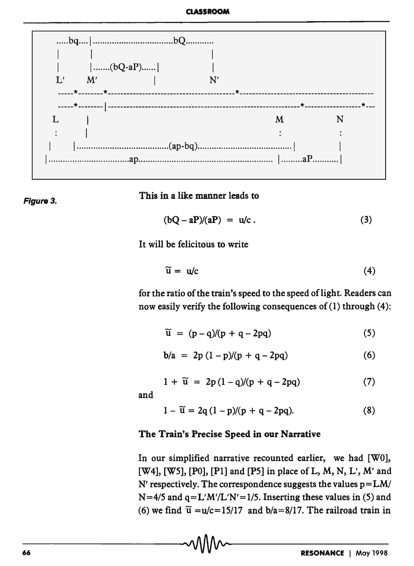

Figure 3.

This in a like manner leads to

$$
(bQ - aP)/(aP) = u/c. \qquad (3)
$$

It will be felicitous to write

$$
\widetilde{u} = u/c \tag{4}
$$

for the ratio of the train's speed to the speed of light. Readers can now easily verify the following consequences of (1) through (4):

$$
\widetilde{u} = (p-q)/(p+q-2pq) \tag{5}
$$

$$
b/a = 2p (1-p)/(p+q-2pq)
$$
 (6)

$$
1 + \widetilde{u} = 2p(1-q)/(p+q-2pq) \tag{7}
$$

and

$$
1 - \widetilde{u} = 2q(1 - p)/(p + q - 2pq).
$$
 (8)

#### The Train's Precise Speed in our Narrative

In our simplified narrative recounted earlier, we had [W0], [W4], [W5], [P0], [P1] and [P5] in place of L, M, N, L', M' and N' respectively. The correspondence suggests the values  $p = LM/$  $N=4/5$  and  $q=L'M'/L'N'=1/5$ . Inserting these values in (5) and (6) we find  $\tilde{u} = u/c = 15/17$  and  $b/a = 8/17$ . The railroad train in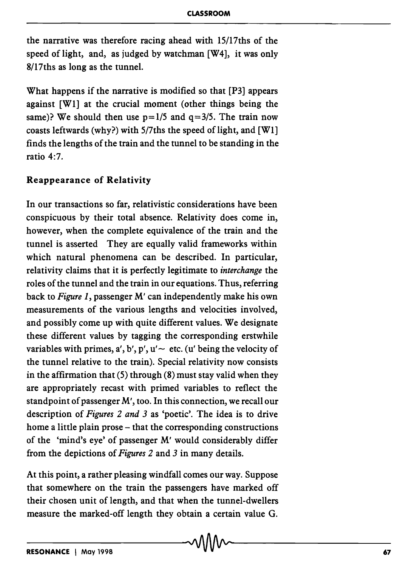the narrative was therefore racing ahead with 15/17ths of the speed of light, and, as judged by watchman [W4], it was only 8/17ths as long as the tunnel.

What happens if the narrative is modified so that [P3] appears against [WI] at the crucial moment (other things being the same)? We should then use  $p=1/5$  and  $q=3/5$ . The train now coasts leftwards (why?) with 5/7ths the speed of light, and [WI] finds the lengths of the train and the tunnel to be standing in the ratio 4:7.

#### Reappearance of Relativity

In our transactions so far, relativistic considerations have been conspicuous by their total absence. Relativity does come in, however, when the complete equivalence of the train and the tunnel is asserted They are equally valid frameworks within which natural phenomena can be described. In particular, relativity claims that it is perfectly legitimate to *interchange* the roles of the tunnel and the train in our equations. Thus, referring back to *Figure 1,* passenger M' can independently make his own measurements of the various lengths and velocities involved, and possibly come up with quite different values. We designate these different values by tagging the corresponding erstwhile variables with primes, a', b', p', u'  $\sim$  etc. (u' being the velocity of the tunnel relative to the train). Special relativity now consists in the affirmation that  $(5)$  through  $(8)$  must stay valid when they are appropriately recast with primed variables to reflect the standpoint of passenger M', too. In this connection, we recall our description of *Figures* 2 *and* 3 as 'poetic'. The idea is to drive home a little plain prose – that the corresponding constructions of the 'mind's eye' of passenger M' would considerably differ from the depictions of *Figures* 2 and 3 in many details.

At this point, a rather pleasing windfall comes our way. Suppose that somewhere on the train the passengers have marked off their chosen unit of length, and that when the tunnel-dwellers measure the marked-off length they obtain a certain value G.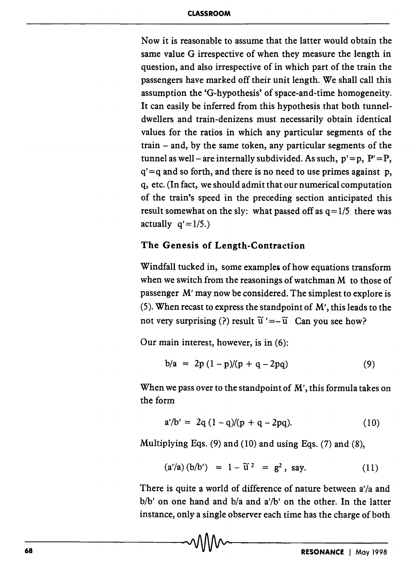Now it is reasonable to assume that the latter would obtain the same value G irrespective of when they measure the length in question, and also irrespective of in which part of the train the passengers have marked off their unit length. We shall call this assumption the 'G-hypothesis' of space-and-time homogeneity. It can easily be inferred from this hypothesis that both tunneldwellers and train-denizens must necessarily obtain identical values for the ratios in which any particular segments of the train - and, by the same token, any particular segments of the tunnel as well – are internally subdivided. As such,  $p' = p$ ,  $P' = P$ ,  $q' = q$  and so forth, and there is no need to use primes against p, q, etc. (In fact, we should admit that our numerical computation of the train's speed in the preceding section anticipated this result somewhat on the sly: what passed off as  $q=1/5$  there was actually  $q' = 1/5.$ 

## The Genesis of Length-Contraction

Windfall tucked in, some examples of how equations transform when we switch from the reasonings of watchman M to those of passenger M' may now be considered. The simplest to explore is (5). When recast to express the standpoint of M', this leads to the not very surprising (?) result  $\tilde{u}' = -\tilde{u}$  Can you see how?

Our main interest, however, is in (6):

$$
b/a = 2p(1-p)/(p+q-2pq)
$$
 (9)

When we pass over to the standpoint of M', this formula takes on the form

$$
a'/b' = 2q(1-q)/(p+q-2pq).
$$
 (10)

Multiplying Eqs.  $(9)$  and  $(10)$  and using Eqs.  $(7)$  and  $(8)$ ,

$$
(a'/a) (b/b') = 1 - \widetilde{u}^2 = g^2, say. \qquad (11)
$$

There is quite a world of difference of nature between a'/a and *b*/b' on one hand and b/a and a'/b' on the other. In the latter instance, only a single observer each time has the charge of both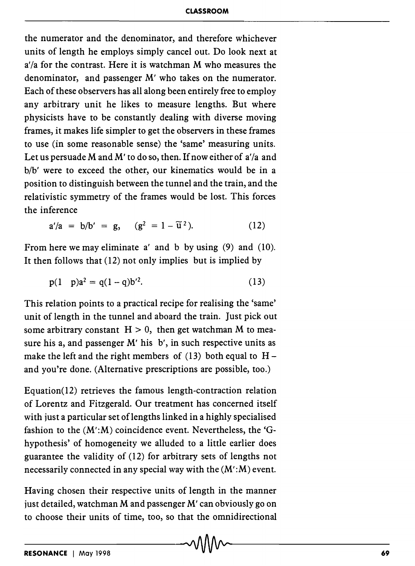the numerator and the denominator, and therefore whichever units of length he employs simply cancel out. Do look next at *a'ia* for the contrast. Here it is watchman M who measures the denominator, and passenger M' who takes on the numerator. Each of these observers has all along been entirely free to employ any arbitrary unit he likes to measure lengths. But where physicists have to be constantly dealing with diverse moving frames, it makes life simpler to get the observers in these frames to use (in some reasonable sense) the 'same' measuring units. Let us persuade M and M' to do so, then. If now either of *a'ia* and *bib'* were to exceed the other, our kinematics would be in a position to distinguish between the tunnel and the train, and the relativistic symmetry of the frames would be lost. This forces the inference

$$
a'/a = b/b' = g, \quad (g^2 = 1 - \tilde{u}^2). \tag{12}
$$

From here we may eliminate a' and b by using (9) and (10). It then follows that (12) not only implies but is implied by

$$
p(1 \quad p)a^2 = q(1-q)b'^2. \tag{13}
$$

This relation points to a practical recipe for realising the 'same' unit of length in the tunnel and aboard the train. Just pick out some arbitrary constant  $H > 0$ , then get watchman M to measure his a, and passenger M' his b', in such respective units as make the left and the right members of  $(13)$  both equal to  $H$ and you're done. (Alternative prescriptions are possible, too.)

Equation(12) retrieves the famous length-contraction relation of Lorentz and Fitzgerald. Our treatment has concerned itself with just a particular set of lengths linked in a highly specialised fashion to the  $(M':M)$  coincidence event. Nevertheless, the 'Ghypothesis' of homogeneity we alluded to a little earlier does guarantee the validity of (12) for arbitrary sets of lengths not necessarily connected in any special way with the  $(M':M)$  event.

Having chosen their respective units of length in the manner just detailed, watchman M and passenger M' can obviously go on to choose their units of time, too, so that the omnidirectional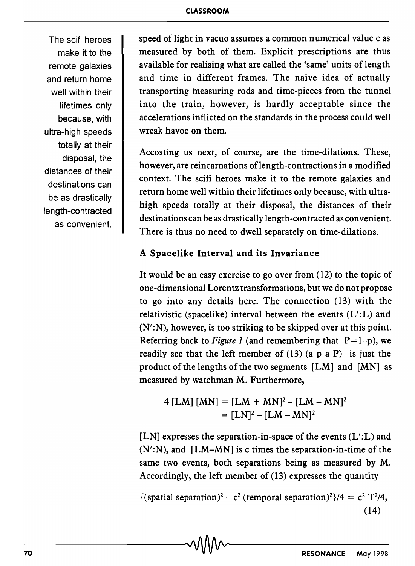The scifi heroes make it to the remote galaxies and return home well within their lifetimes only because, with ultra-high speeds totally at their disposal, the distances of their destinations can be as drastically length-contracted as convenient.

speed of light in vacuo assumes a common numerical value c as measured by both of them. Explicit prescriptions are thus available for realising what are called the 'same' units of length and time in different frames. The naive idea of actually transporting measuring rods and time-pieces from the tunnel into the train, however, is hardly acceptable since the accelerations inflicted on the standards in the process could well wreak havoc on them.

Accosting us next, of course, are the time-dilations. These, however, are reincarnations of length-contractions in a modified context. The scifi heroes make it to the remote galaxies and return home well within their lifetimes only because, with ultrahigh speeds totally at their disposal, the distances of their destinations can be as drastically length-contracted as convenient. There is thus no need to dwell separately on time-dilations.

### A Spacelike Interval and its Invariance

It would be an easy exercise to go over from (12) to the topic of one-dimensional Lorentz transformations, but we do not propose to go into any details here. The connection (13) with the relativistic (spacelike) interval between the events (L':L) and (N':N), however, is too striking to be skipped over at this point. Referring back to *Figure 1* (and remembering that  $P=1-p$ ), we readily see that the left member of  $(13)$   $(a \ p \ a \ P)$  is just the product of the lengths of the two segments [LM] and [MN] as measured by watchman M. Furthermore,

 $4 [LM] [MN] = [LM + MN]^2 - [LM - MN]^2$  $= [LN]^2 - [LM - MN]^2$ 

[LN] expresses the separation-in-space of the events  $(L'.L)$  and  $(N':N)$ , and  $[LM-MN]$  is c times the separation-in-time of the same two events, both separations being as measured by M. Accordingly, the left member of (13) expresses the quantity

{(spatial separation)<sup>2</sup> – c<sup>2</sup> (temporal separation)<sup>2</sup>}/4 = c<sup>2</sup> T<sup>2</sup>/4, (14)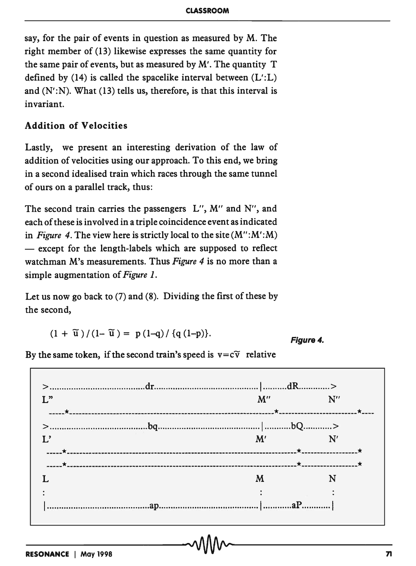say, for the pair of events in question as measured by M. The right member of (13) likewise expresses the same quantity for the same pair of events, but as measured by M'. The quantity T defined by  $(14)$  is called the spacelike interval between  $(L'.L)$ and  $(N':N)$ . What  $(13)$  tells us, therefore, is that this interval is invariant.

## Addition of Velocities

Lastly, we present an interesting derivation of the law of addition of velocities using our approach. To this end, we bring in a second idealised train which races through the same tunnel of ours on a parallel track, thus:

The second train carries the passengers L", M" and N", and each of these is involved in a triple coincidence event as indicated in *Figure* 4. The view here is strictly local to the site (M":M':M) - except for the length-labels which are supposed to reflect watchman M's measurements. Thus *Figure* 4 is no more than a simple augmentation of *Figure 1.* 

Let us now go back to (7) and (8). Dividing the first of these by the second,

$$
(1 + \widetilde{u})/(1 - \widetilde{u}) = p(1-q)/\{q(1-p)\}.
$$

Figure 4.

By the same token, if the second train's speed is  $v = c\tilde{v}$  relative

> ........................................ dr ............................................ I .......... dR ............. >  $\mathbf{L}^{\mathbf{v}}$  and  $\mathbf{M}^{\prime\prime}$  and  $\mathbf{N}^{\prime\prime}$  and  $\mathbf{N}^{\prime\prime}$ -----\* ------------------------------------------------------------------\* -------------------------\* ---- > ......................................... bq ........................................... 1 ........... bQ ............ >  $\mathbf{L'}$  and  $\mathbf{M'}$  are  $\mathbf{N'}$ -----\* --------------------------------------------------------------------------\* ------------------\* -----\* --------------------------------------------------------------------------\* ------------------\* L M N  $\ddot{\cdot}$  $\ddot{\cdot}$ 1 ........................................... ap .......................................... I ............ aP ............ \